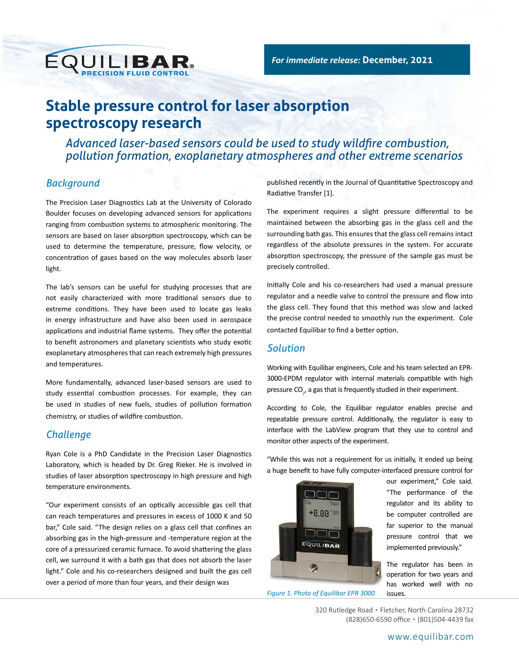# **Stable pressure control for laser absorption spectroscopy research**

*Advanced laser-based sensors could be used to study wildfire combustion, pollution formation, exoplanetary atmospheres and other extreme scenarios*

# *Background*

The Precision Laser Diagnostics Lab at the University of Colorado Boulder focuses on developing advanced sensors for applications ranging from combustion systems to atmospheric monitoring. The sensors are based on laser absorption spectroscopy, which can be used to determine the temperature, pressure, flow velocity, or concentration of gases based on the way molecules absorb laser light.

EQUILIBAR.

The lab's sensors can be useful for studying processes that are not easily characterized with more traditional sensors due to extreme conditions. They have been used to locate gas leaks in energy infrastructure and have also been used in aerospace applications and industrial flame systems. They offer the potential to benefit astronomers and planetary scientists who study exotic exoplanetary atmospheres that can reach extremely high pressures and temperatures.

More fundamentally, advanced laser-based sensors are used to study essential combustion processes. For example, they can be used in studies of new fuels, studies of pollution formation chemistry, or studies of wildfire combustion.

### *Challenge*

Ryan Cole is a PhD Candidate in the Precision Laser Diagnostics Laboratory, which is headed by Dr. Greg Rieker. He is involved in studies of laser absorption spectroscopy in high pressure and high temperature environments.

"Our experiment consists of an optically accessible gas cell that can reach temperatures and pressures in excess of 1000 K and 50 bar," Cole said. "The design relies on a glass cell that confines an absorbing gas in the high-pressure and -temperature region at the core of a pressurized ceramic furnace. To avoid shattering the glass cell, we surround it with a bath gas that does not absorb the laser light." Cole and his co-researchers designed and built the gas cell over a period of more than four years, and their design was

published recently in the Journal of Quantitative Spectroscopy and Radiative Transfer [1].

The experiment requires a slight pressure differential to be maintained between the absorbing gas in the glass cell and the surrounding bath gas. This ensures that the glass cell remains intact regardless of the absolute pressures in the system. For accurate absorption spectroscopy, the pressure of the sample gas must be precisely controlled.

Initially Cole and his co-researchers had used a manual pressure regulator and a needle valve to control the pressure and flow into the glass cell. They found that this method was slow and lacked the precise control needed to smoothly run the experiment. Cole contacted Equilibar to find a better option.

### *Solution*

Working with Equilibar engineers, Cole and his team selected an EPR-3000-EPDM regulator with internal materials compatible with high pressure CO<sub>2</sub>, a gas that is frequently studied in their experiment.

According to Cole, the Equilibar regulator enables precise and repeatable pressure control. Additionally, the regulator is easy to interface with the LabView program that they use to control and monitor other aspects of the experiment.



*Figure 1. Photo of Equilibar EPR 3000*

"While this was not a requirement for us initially, it ended up being a huge benefit to have fully computer-interfaced pressure control for

our experiment," Cole said. "The performance of the regulator and its ability to be computer controlled are far superior to the manual pressure control that we implemented previously."

The regulator has been in operation for two years and has worked well with no issues.

320 Rutledge Road • Fletcher, North Carolina 28732 (828)650-6590 office • (801)504-4439 fax